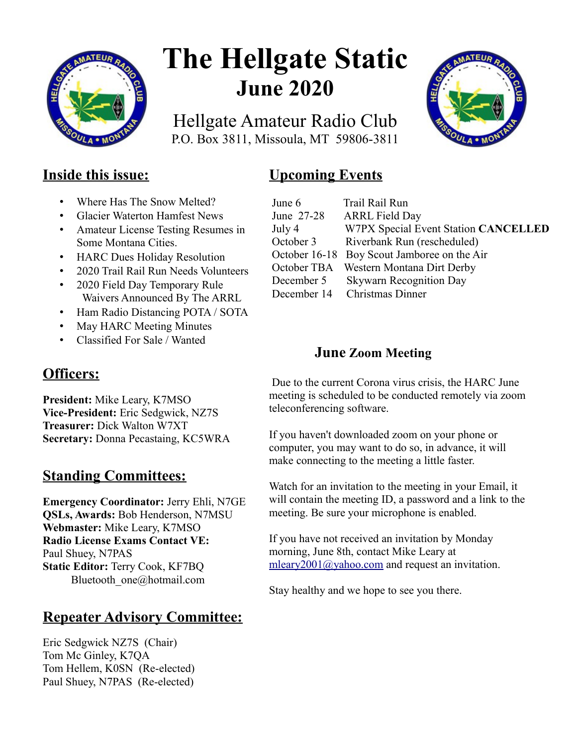

# **The Hellgate Static June 2020**

Hellgate Amateur Radio Club P.O. Box 3811, Missoula, MT 59806-3811



# **Inside this issue:**

- Where Has The Snow Melted?
- Glacier Waterton Hamfest News
- Amateur License Testing Resumes in Some Montana Cities.
- HARC Dues Holiday Resolution
- 2020 Trail Rail Run Needs Volunteers
- 2020 Field Day Temporary Rule Waivers Announced By The ARRL
- Ham Radio Distancing POTA / SOTA
- May HARC Meeting Minutes
- Classified For Sale / Wanted

# **Officers:**

**President:** Mike Leary, K7MSO **Vice-President:** Eric Sedgwick, NZ7S **Treasurer:** Dick Walton W7XT **Secretary:** Donna Pecastaing, KC5WRA

# **Standing Committees:**

**Emergency Coordinator:** Jerry Ehli, N7GE **QSLs, Awards:** Bob Henderson, N7MSU **Webmaster:** Mike Leary, K7MSO **Radio License Exams Contact VE:** Paul Shuey, N7PAS **Static Editor:** Terry Cook, KF7BQ Bluetooth one@hotmail.com

# **Repeater Advisory Committee:**

Eric Sedgwick NZ7S (Chair) Tom Mc Ginley, K7QA Tom Hellem, K0SN (Re-elected) Paul Shuey, N7PAS (Re-elected)

# **Upcoming Events**

| June 6      | Trail Rail Run                              |
|-------------|---------------------------------------------|
| June 27-28  | <b>ARRL Field Day</b>                       |
| July 4      | W7PX Special Event Station CANCELLED        |
| October 3   | Riverbank Run (rescheduled)                 |
|             | October 16-18 Boy Scout Jamboree on the Air |
| October TBA | Western Montana Dirt Derby                  |
| December 5  | <b>Skywarn Recognition Day</b>              |
| December 14 | Christmas Dinner                            |

## **June Zoom Meeting**

 Due to the current Corona virus crisis, the HARC June meeting is scheduled to be conducted remotely via zoom teleconferencing software.

If you haven't downloaded zoom on your phone or computer, you may want to do so, in advance, it will make connecting to the meeting a little faster.

Watch for an invitation to the meeting in your Email, it will contain the meeting ID, a password and a link to the meeting. Be sure your microphone is enabled.

If you have not received an invitation by Monday morning, June 8th, contact Mike Leary at [mleary2001@yahoo.com](mailto:mleary2001@yahoo.com) and request an invitation.

Stay healthy and we hope to see you there.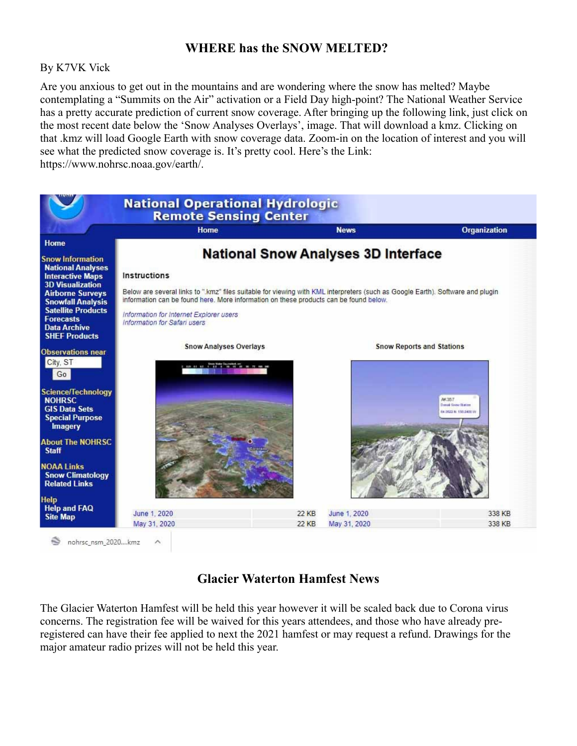### **WHERE has the SNOW MELTED?**

#### By K7VK Vick

Are you anxious to get out in the mountains and are wondering where the snow has melted? Maybe contemplating a "Summits on the Air" activation or a Field Day high-point? The National Weather Service has a pretty accurate prediction of current snow coverage. After bringing up the following link, just click on the most recent date below the 'Snow Analyses Overlays', image. That will download a kmz. Clicking on that .kmz will load Google Earth with snow coverage data. Zoom-in on the location of interest and you will see what the predicted snow coverage is. It's pretty cool. Here's the Link: https://www.nohrsc.noaa.gov/earth/.



#### **Glacier Waterton Hamfest News**

The Glacier Waterton Hamfest will be held this year however it will be scaled back due to Corona virus concerns. The registration fee will be waived for this years attendees, and those who have already preregistered can have their fee applied to next the 2021 hamfest or may request a refund. Drawings for the major amateur radio prizes will not be held this year.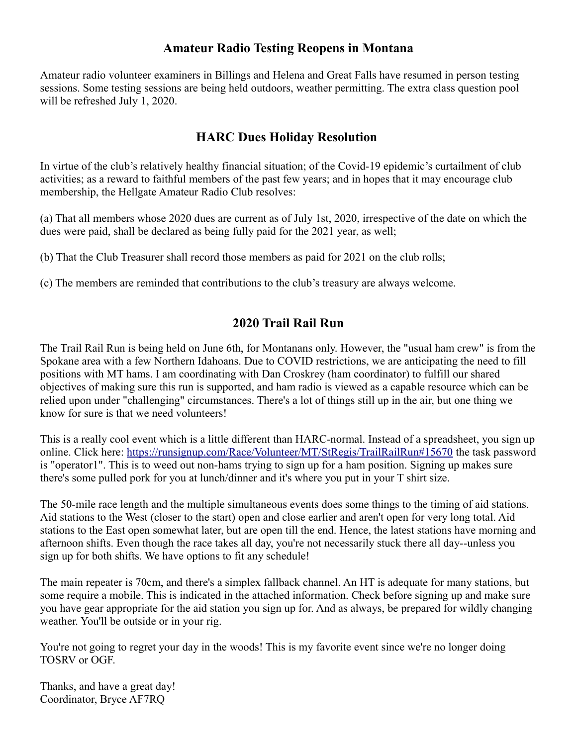## **Amateur Radio Testing Reopens in Montana**

Amateur radio volunteer examiners in Billings and Helena and Great Falls have resumed in person testing sessions. Some testing sessions are being held outdoors, weather permitting. The extra class question pool will be refreshed July 1, 2020.

## **HARC Dues Holiday Resolution**

In virtue of the club's relatively healthy financial situation; of the Covid-19 epidemic's curtailment of club activities; as a reward to faithful members of the past few years; and in hopes that it may encourage club membership, the Hellgate Amateur Radio Club resolves:

(a) That all members whose 2020 dues are current as of July 1st, 2020, irrespective of the date on which the dues were paid, shall be declared as being fully paid for the 2021 year, as well;

(b) That the Club Treasurer shall record those members as paid for 2021 on the club rolls;

(c) The members are reminded that contributions to the club's treasury are always welcome.

## **2020 Trail Rail Run**

The Trail Rail Run is being held on June 6th, for Montanans only. However, the "usual ham crew" is from the Spokane area with a few Northern Idahoans. Due to COVID restrictions, we are anticipating the need to fill positions with MT hams. I am coordinating with Dan Croskrey (ham coordinator) to fulfill our shared objectives of making sure this run is supported, and ham radio is viewed as a capable resource which can be relied upon under "challenging" circumstances. There's a lot of things still up in the air, but one thing we know for sure is that we need volunteers!

This is a really cool event which is a little different than HARC-normal. Instead of a spreadsheet, you sign up online. Click here:<https://runsignup.com/Race/Volunteer/MT/StRegis/TrailRailRun#15670>the task password is "operator1". This is to weed out non-hams trying to sign up for a ham position. Signing up makes sure there's some pulled pork for you at lunch/dinner and it's where you put in your T shirt size.

The 50-mile race length and the multiple simultaneous events does some things to the timing of aid stations. Aid stations to the West (closer to the start) open and close earlier and aren't open for very long total. Aid stations to the East open somewhat later, but are open till the end. Hence, the latest stations have morning and afternoon shifts. Even though the race takes all day, you're not necessarily stuck there all day--unless you sign up for both shifts. We have options to fit any schedule!

The main repeater is 70cm, and there's a simplex fallback channel. An HT is adequate for many stations, but some require a mobile. This is indicated in the attached information. Check before signing up and make sure you have gear appropriate for the aid station you sign up for. And as always, be prepared for wildly changing weather. You'll be outside or in your rig.

You're not going to regret your day in the woods! This is my favorite event since we're no longer doing TOSRV or OGF.

Thanks, and have a great day! Coordinator, Bryce AF7RQ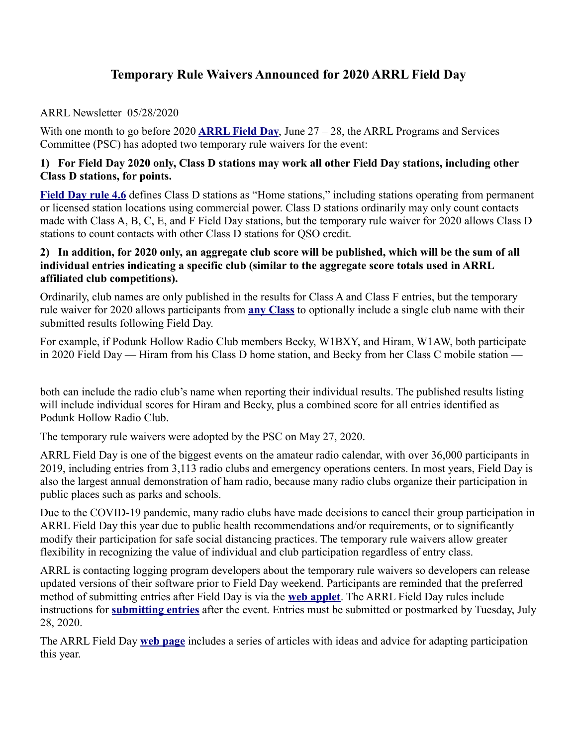## **Temporary Rule Waivers Announced for 2020 ARRL Field Day**

#### ARRL Newsletter 05/28/2020

With one month to go before 2020 **[ARRL Field Day](http://www.arrl.org/fieldday)**, June 27 – 28, the ARRL Programs and Services Committee (PSC) has adopted two temporary rule waivers for the event:

#### **1) For Field Day 2020 only, Class D stations may work all other Field Day stations, including other Class D stations, for points.**

**[Field Day rule 4.6](http://www.arrl.org/field-day-rules#classd)** defines Class D stations as "Home stations," including stations operating from permanent or licensed station locations using commercial power. Class D stations ordinarily may only count contacts made with Class A, B, C, E, and F Field Day stations, but the temporary rule waiver for 2020 allows Class D stations to count contacts with other Class D stations for QSO credit.

#### **2) In addition, for 2020 only, an aggregate club score will be published, which will be the sum of all individual entries indicating a specific club (similar to the aggregate score totals used in ARRL affiliated club competitions).**

Ordinarily, club names are only published in the results for Class A and Class F entries, but the temporary rule waiver for 2020 allows participants from **[any Class](http://www.arrl.org/field-day-rules#class)** to optionally include a single club name with their submitted results following Field Day.

For example, if Podunk Hollow Radio Club members Becky, W1BXY, and Hiram, W1AW, both participate in 2020 Field Day — Hiram from his Class D home station, and Becky from her Class C mobile station —

both can include the radio club's name when reporting their individual results. The published results listing will include individual scores for Hiram and Becky, plus a combined score for all entries identified as Podunk Hollow Radio Club.

The temporary rule waivers were adopted by the PSC on May 27, 2020.

ARRL Field Day is one of the biggest events on the amateur radio calendar, with over 36,000 participants in 2019, including entries from 3,113 radio clubs and emergency operations centers. In most years, Field Day is also the largest annual demonstration of ham radio, because many radio clubs organize their participation in public places such as parks and schools.

Due to the COVID-19 pandemic, many radio clubs have made decisions to cancel their group participation in ARRL Field Day this year due to public health recommendations and/or requirements, or to significantly modify their participation for safe social distancing practices. The temporary rule waivers allow greater flexibility in recognizing the value of individual and club participation regardless of entry class.

ARRL is contacting logging program developers about the temporary rule waivers so developers can release updated versions of their software prior to Field Day weekend. Participants are reminded that the preferred method of submitting entries after Field Day is via the **[web applet](https://field-day.arrl.org/fdentry.php)**. The ARRL Field Day rules include instructions for **[submitting entries](http://www.arrl.org/field-day-rules#reporting)** after the event. Entries must be submitted or postmarked by Tuesday, July 28, 2020.

The ARRL Field Day **[web page](http://www.arrl.org/fieldday)** includes a series of articles with ideas and advice for adapting participation this year.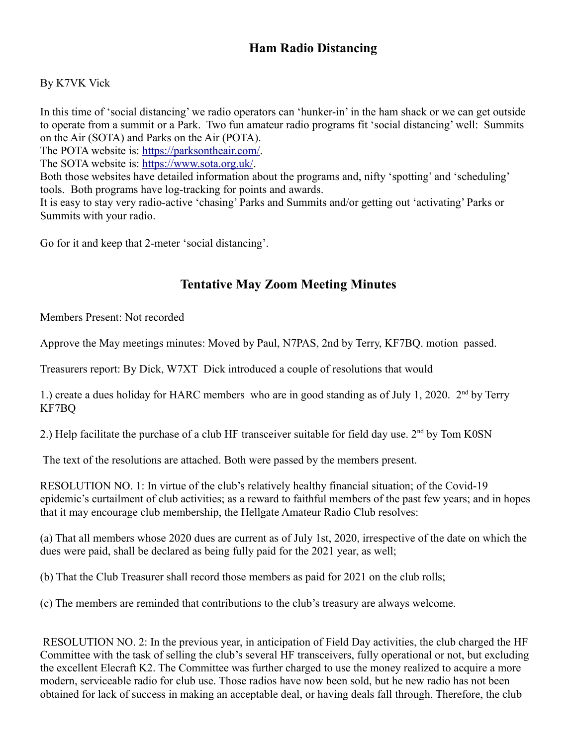## **Ham Radio Distancing**

#### By K7VK Vick

In this time of 'social distancing' we radio operators can 'hunker-in' in the ham shack or we can get outside to operate from a summit or a Park. Two fun amateur radio programs fit 'social distancing' well: Summits on the Air (SOTA) and Parks on the Air (POTA).

The POTA website is: [https://parksontheair.com/.](https://parksontheair.com/)

The SOTA website is: [https://www.sota.org.uk/.](https://www.sota.org.uk/)

Both those websites have detailed information about the programs and, nifty 'spotting' and 'scheduling' tools. Both programs have log-tracking for points and awards.

It is easy to stay very radio-active 'chasing' Parks and Summits and/or getting out 'activating' Parks or Summits with your radio.

Go for it and keep that 2-meter 'social distancing'.

#### **Tentative May Zoom Meeting Minutes**

Members Present: Not recorded

Approve the May meetings minutes: Moved by Paul, N7PAS, 2nd by Terry, KF7BQ. motion passed.

Treasurers report: By Dick, W7XT Dick introduced a couple of resolutions that would

1.) create a dues holiday for HARC members who are in good standing as of July 1, 2020. 2<sup>nd</sup> by Terry KF7BQ

2.) Help facilitate the purchase of a club HF transceiver suitable for field day use.  $2<sup>nd</sup>$  by Tom K0SN

The text of the resolutions are attached. Both were passed by the members present.

RESOLUTION NO. 1: In virtue of the club's relatively healthy financial situation; of the Covid-19 epidemic's curtailment of club activities; as a reward to faithful members of the past few years; and in hopes that it may encourage club membership, the Hellgate Amateur Radio Club resolves:

(a) That all members whose 2020 dues are current as of July 1st, 2020, irrespective of the date on which the dues were paid, shall be declared as being fully paid for the 2021 year, as well;

(b) That the Club Treasurer shall record those members as paid for 2021 on the club rolls;

(c) The members are reminded that contributions to the club's treasury are always welcome.

 RESOLUTION NO. 2: In the previous year, in anticipation of Field Day activities, the club charged the HF Committee with the task of selling the club's several HF transceivers, fully operational or not, but excluding the excellent Elecraft K2. The Committee was further charged to use the money realized to acquire a more modern, serviceable radio for club use. Those radios have now been sold, but he new radio has not been obtained for lack of success in making an acceptable deal, or having deals fall through. Therefore, the club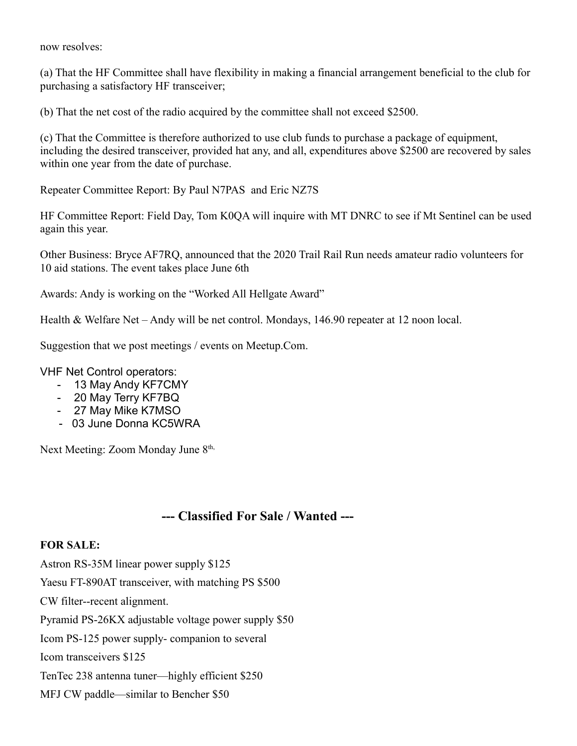now resolves:

(a) That the HF Committee shall have flexibility in making a financial arrangement beneficial to the club for purchasing a satisfactory HF transceiver;

(b) That the net cost of the radio acquired by the committee shall not exceed \$2500.

(c) That the Committee is therefore authorized to use club funds to purchase a package of equipment, including the desired transceiver, provided hat any, and all, expenditures above \$2500 are recovered by sales within one year from the date of purchase.

Repeater Committee Report: By Paul N7PAS and Eric NZ7S

HF Committee Report: Field Day, Tom K0QA will inquire with MT DNRC to see if Mt Sentinel can be used again this year.

Other Business: Bryce AF7RQ, announced that the 2020 Trail Rail Run needs amateur radio volunteers for 10 aid stations. The event takes place June 6th

Awards: Andy is working on the "Worked All Hellgate Award"

Health & Welfare Net – Andy will be net control. Mondays, 146.90 repeater at 12 noon local.

Suggestion that we post meetings / events on Meetup.Com.

VHF Net Control operators:

- 13 May Andy KF7CMY
- 20 May Terry KF7BQ
- 27 May Mike K7MSO
- 03 June Donna KC5WRA

Next Meeting: Zoom Monday June 8<sup>th,</sup>

#### **--- Classified For Sale / Wanted ---**

#### **FOR SALE:**

Astron RS-35M linear power supply \$125 Yaesu FT-890AT transceiver, with matching PS \$500 CW filter--recent alignment. Pyramid PS-26KX adjustable voltage power supply \$50 Icom PS-125 power supply- companion to several Icom transceivers \$125 TenTec 238 antenna tuner—highly efficient \$250 MFJ CW paddle—similar to Bencher \$50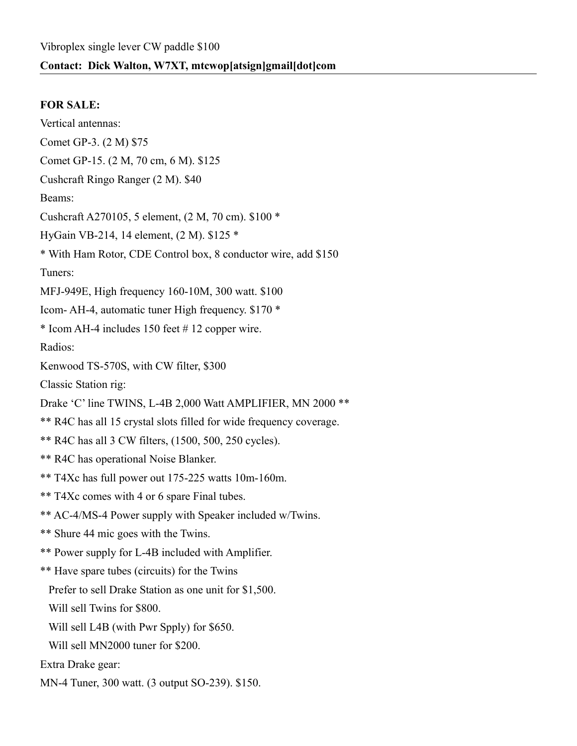#### **FOR SALE:**

| Vertical antennas:                                                  |
|---------------------------------------------------------------------|
| Comet GP-3. (2 M) \$75                                              |
| Comet GP-15. (2 M, 70 cm, 6 M). \$125                               |
| Cushcraft Ringo Ranger (2 M). \$40                                  |
| Beams:                                                              |
| Cushcraft A270105, 5 element, (2 M, 70 cm). \$100 *                 |
| HyGain VB-214, 14 element, (2 M). \$125 *                           |
| * With Ham Rotor, CDE Control box, 8 conductor wire, add \$150      |
| Tuners:                                                             |
| MFJ-949E, High frequency 160-10M, 300 watt. \$100                   |
| Icom-AH-4, automatic tuner High frequency. \$170 *                  |
| * Icom AH-4 includes 150 feet #12 copper wire.                      |
| Radios:                                                             |
| Kenwood TS-570S, with CW filter, \$300                              |
| Classic Station rig:                                                |
| Drake 'C' line TWINS, L-4B 2,000 Watt AMPLIFIER, MN 2000 **         |
| ** R4C has all 15 crystal slots filled for wide frequency coverage. |
| ** R4C has all 3 CW filters, (1500, 500, 250 cycles).               |
| ** R4C has operational Noise Blanker.                               |
| ** T4Xc has full power out 175-225 watts 10m-160m.                  |
| ** T4Xc comes with 4 or 6 spare Final tubes.                        |
| ** AC-4/MS-4 Power supply with Speaker included w/Twins.            |
| ** Shure 44 mic goes with the Twins.                                |
| ** Power supply for L-4B included with Amplifier.                   |
| ** Have spare tubes (circuits) for the Twins                        |
| Prefer to sell Drake Station as one unit for \$1,500.               |
| Will sell Twins for \$800.                                          |
| Will sell L4B (with Pwr Spply) for \$650.                           |
| Will sell MN2000 tuner for \$200.                                   |
| Extra Drake gear:                                                   |
| MN-4 Tuner, 300 watt. (3 output SO-239). \$150.                     |